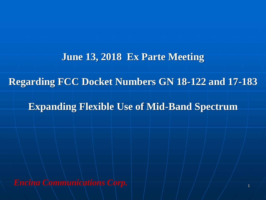#### **June 13, 2018 Ex Parte Meeting**

#### **Regarding FCC Docket Numbers GN 18-122 and 17-183**

#### **Expanding Flexible Use of Mid-Band Spectrum**

*Encina Communications Corp.* 1 1 1 1 1 1 1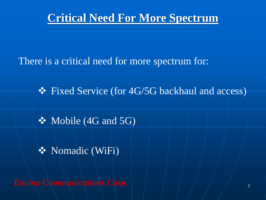

There is a critical need for more spectrum for:

❖ Fixed Service (for 4G/5G backhaul and access)

❖ Mobile (4G and 5G)

❖ Nomadic (WiFi)

*Encina Communications Corp.*  $\left|\frac{1}{2}, \frac{1}{2}\right|$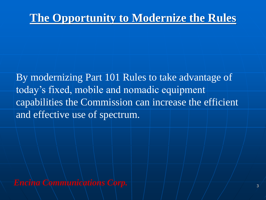# **The Opportunity to Modernize the Rules**

By modernizing Part 101 Rules to take advantage of today's fixed, mobile and nomadic equipment capabilities the Commission can increase the efficient and effective use of spectrum.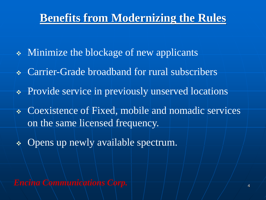## **Benefits from Modernizing the Rules**

- ❖ Minimize the blockage of new applicants
- ❖ Carrier-Grade broadband for rural subscribers
- ❖ Provide service in previously unserved locations
- ❖ Coexistence of Fixed, mobile and nomadic services on the same licensed frequency.
- ❖ Opens up newly available spectrum.

*Encina Communications Corp.* <sup>4</sup>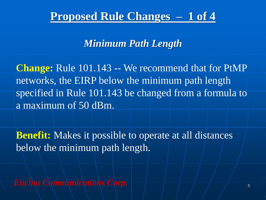## **Proposed Rule Changes – 1 of 4**

### *Minimum Path Length*

**Change:** Rule 101.143 -- We recommend that for PtMP networks, the EIRP below the minimum path length specified in Rule 101.143 be changed from a formula to a maximum of 50 dBm.

**Benefit:** Makes it possible to operate at all distances below the minimum path length.

*Encina Communications Corp.*  $\left|\frac{1}{5}\right|$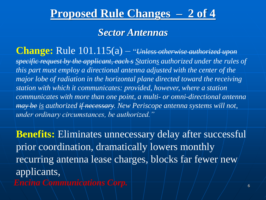## **Proposed Rule Changes – 2 of 4**

#### *Sector Antennas*

**Change:** Rule 101.115(a) – "*Unless otherwise authorized upon specific request by the applicant, each s Stations authorized under the rules of this part must employ a directional antenna adjusted with the center of the major lobe of radiation in the horizontal plane directed toward the receiving station with which it communicates: provided, however, where a station communicates with more than one point, a multi- or omni-directional antenna may be is authorized if necessary. New Periscope antenna systems will not, under ordinary circumstances, be authorized."*

*Encina Communications Corp.*  $\left|\frac{a}{b} + \frac{a}{c}\right|$ **Benefits:** Eliminates unnecessary delay after successful prior coordination, dramatically lowers monthly recurring antenna lease charges, blocks far fewer/new applicants,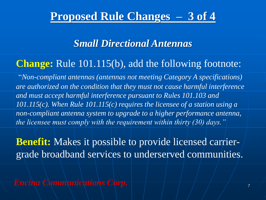## **Proposed Rule Changes – 3 of 4**

### *Small Directional Antennas*

### **Change:** Rule 101.115(b), add the following footnote:

"*Non-compliant antennas (antennas not meeting Category A specifications) are authorized on the condition that they must not cause harmful interference and must accept harmful interference pursuant to Rules 101.103 and 101.115(c). When Rule 101.115(c) requires the licensee of a station using a non-compliant antenna system to upgrade to a higher performance antenna, the licensee must comply with the requirement within thirty (30) days."*

**Benefit:** Makes it possible to provide licensed carriergrade broadband services to underserved communities.

*Encina Communications Corp.*  $\left|\frac{a}{b}-\frac{a}{c}\right|$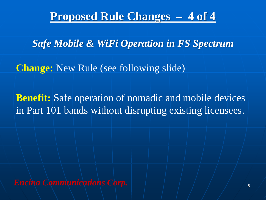## **Proposed Rule Changes – 4 of 4**

*Safe Mobile & WiFi Operation in FS Spectrum*

**Change:** New Rule (see following slide)

**Benefit:** Safe operation of nomadic and mobile devices in Part 101 bands without disrupting existing licensees.

*Encina Communications Corp.*  $\left| \begin{array}{cccc} \hline \end{array} \right|$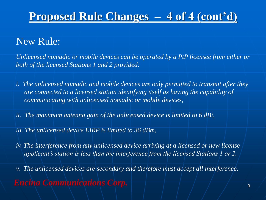# **Proposed Rule Changes – 4 of 4 (cont'd)**

## New Rule:

*Unlicensed nomadic or mobile devices can be operated by a PtP licensee from either or both of the licensed Stations 1 and 2 provided:*

- *i. The unlicensed nomadic and mobile devices are only permitted to transmit after they are connected to a licensed station identifying itself as having the capability of communicating with unlicensed nomadic or mobile devices,*
- *ii. The maximum antenna gain of the unlicensed device is limited to 6 dBi,*
- *iii. The unlicensed device EIRP is limited to 36 dBm,*
- *iv. The interference from any unlicensed device arriving at a licensed or new license applicant's station is less than the interference from the licensed Stations 1 or 2.*
- *v. The unlicensed devices are secondary and therefore must accept all interference.*
- *Encina Communications Corp.* <sup>9</sup>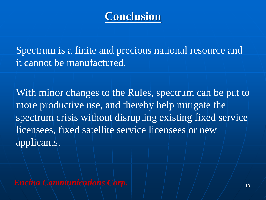# **Conclusion**

Spectrum is a finite and precious national resource and it cannot be manufactured.

With minor changes to the Rules, spectrum can be put to more productive use, and thereby help mitigate the spectrum crisis without disrupting existing fixed service licensees, fixed satellite service licensees or new applicants.

*Encina Communications Corp.* <sup>10</sup>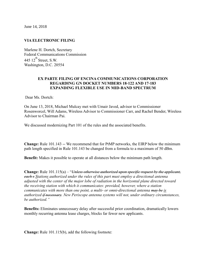June 14, 2018

#### **VIA ELECTRONIC FILING**

Marlene H. Dortch, Secretary Federal Communications Commission 445  $12^{th}$  Street, S.W. Washington, D.C. 20554

#### **EX PARTE FILING OF ENCINA COMMUNICATIONS CORPORATION REGARDING GN DOCKET NUMBERS 18-122 AND 17-183 EXPANDING FLEXIBLE USE IN MID-BAND SPECTRUM**

Dear Ms. Dortch:

On June 13, 2018, Michael Mulcay met with Umair Javed, advisor to Commissioner Rosenworcel, Will Adams, Wireless Advisor to Commissioner Carr, and Rachel Bender, Wireless Advisor to Chairman Pai.

We discussed modernizing Part 101 of the rules and the associated benefits.

**Change:** Rule 101.143 -- We recommend that for PtMP networks, the EIRP below the minimum path length specified in Rule 101.143 be changed from a formula to a maximum of 50 dBm.

**Benefit:** Makes it possible to operate at all distances below the minimum path length.

**Change:** Rule 101.115(a) – "*Unless otherwise authorized upon specific request by the applicant, each s Stations authorized under the rules of this part must employ a directional antenna adjusted with the center of the major lobe of radiation in the horizontal plane directed toward the receiving station with which it communicates: provided, however, where a station communicates with more than one point, a multi- or omni-directional antenna may be is authorized if necessary. New Periscope antenna systems will not, under ordinary circumstances, be authorized."*

**Benefits:** Eliminates unnecessary delay after successful prior coordination, dramatically lowers monthly recurring antenna lease charges, blocks far fewer new applicants.

**Change:** Rule 101.115(b), add the following footnote: